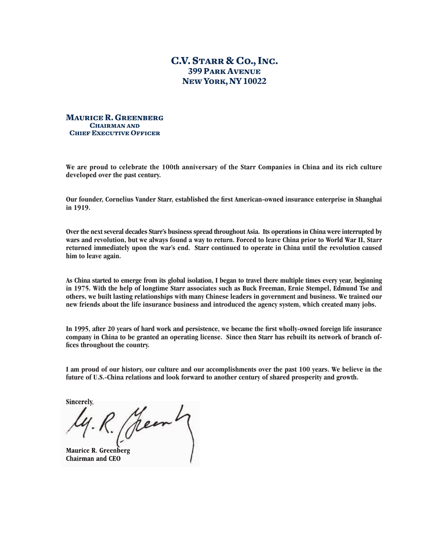## **C.V. STARR & CO., INC. 399 PARK AVENUE NEW YORK, NY 10022**

**MAURICE R. GREENBERG CHAIRMAN AND CHIEF EXECUTIVE OFFICER** 

**We are proud to celebrate the 100th anniversary of the Starr Companies in China and its rich culture developed over the past century.** 

**Our founder, Cornelius Vander Starr, established the first American-owned insurance enterprise in Shanghai in 1919.** 

**Over the next several decades Starr's business spread throughout Asia. Its operations in China were interrupted by wars and revolution, but we always found a way to return. Forced to leave China prior to World War II, Starr returned immediately upon the war's end. Starr continued to operate in China until the revolution caused him to leave again.** 

**As China started to emerge from its global isolation, I began to travel there multiple times every year, beginning in 1975. With the help of longtime Starr associates such as Buck Freeman, Ernie Stempel, Edmund Tse and others, we built lasting relationships with many Chinese leaders in government and business. We trained our new friends about the life insurance business and introduced the agency system, which created many jobs.**

In 1995, after 20 years of hard work and persistence, we became the first wholly-owned foreign life insurance **company in China to be granted an operating license. Since then Starr has rebuilt its network of branch of**fices throughout the country.

**I am proud of our history, our culture and our accomplishments over the past 100 years. We believe in the future of U.S.-China relations and look forward to another century of shared prosperity and growth.**

**Sincerely,**

**Maurice R. Greenberg Chairman and CEO**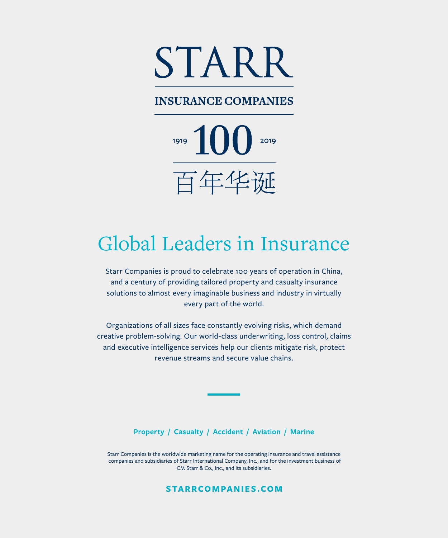

## **INSURANCE COMPANIES**

 $1919$  100 2019 百年华诞

## Global Leaders in Insurance

Starr Companies is proud to celebrate 100 years of operation in China, and a century of providing tailored property and casualty insurance solutions to almost every imaginable business and industry in virtually every part of the world.

Organizations of all sizes face constantly evolving risks, which demand creative problem-solving. Our world-class underwriting, loss control, claims and executive intelligence services help our clients mitigate risk, protect revenue streams and secure value chains.

Property / Casualty / Accident / Aviation / Marine

Starr Companies is the worldwide marketing name for the operating insurance and travel assistance companies and subsidiaries of Starr International Company, Inc., and for the investment business of C.V. Starr & Co., Inc., and its subsidiaries.

**STARRCOMPANIES.COM**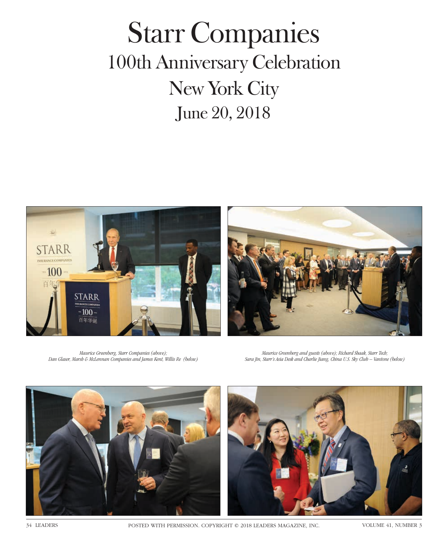## Starr Companies 100th Anniversary Celebration New York City June 20, 2018



*Maurice Greenberg, Starr Companies (above); Dan Glaser, Marsh & McLennan Companies and James Kent, Willis Re (below)*

*Maurice Greenberg and guests (above); Richard Shaak, Starr Tech; Sara Jin, Starr's Asia Desk and Charlie Jiang, China U.S. Sky Club – Vantone (below)*





34 LEADERS POSTED WITH PERMISSION. COPYRIGHT © 2018 LEADERS MAGAZINE, INC. VOLUME 41, NUMBER 3